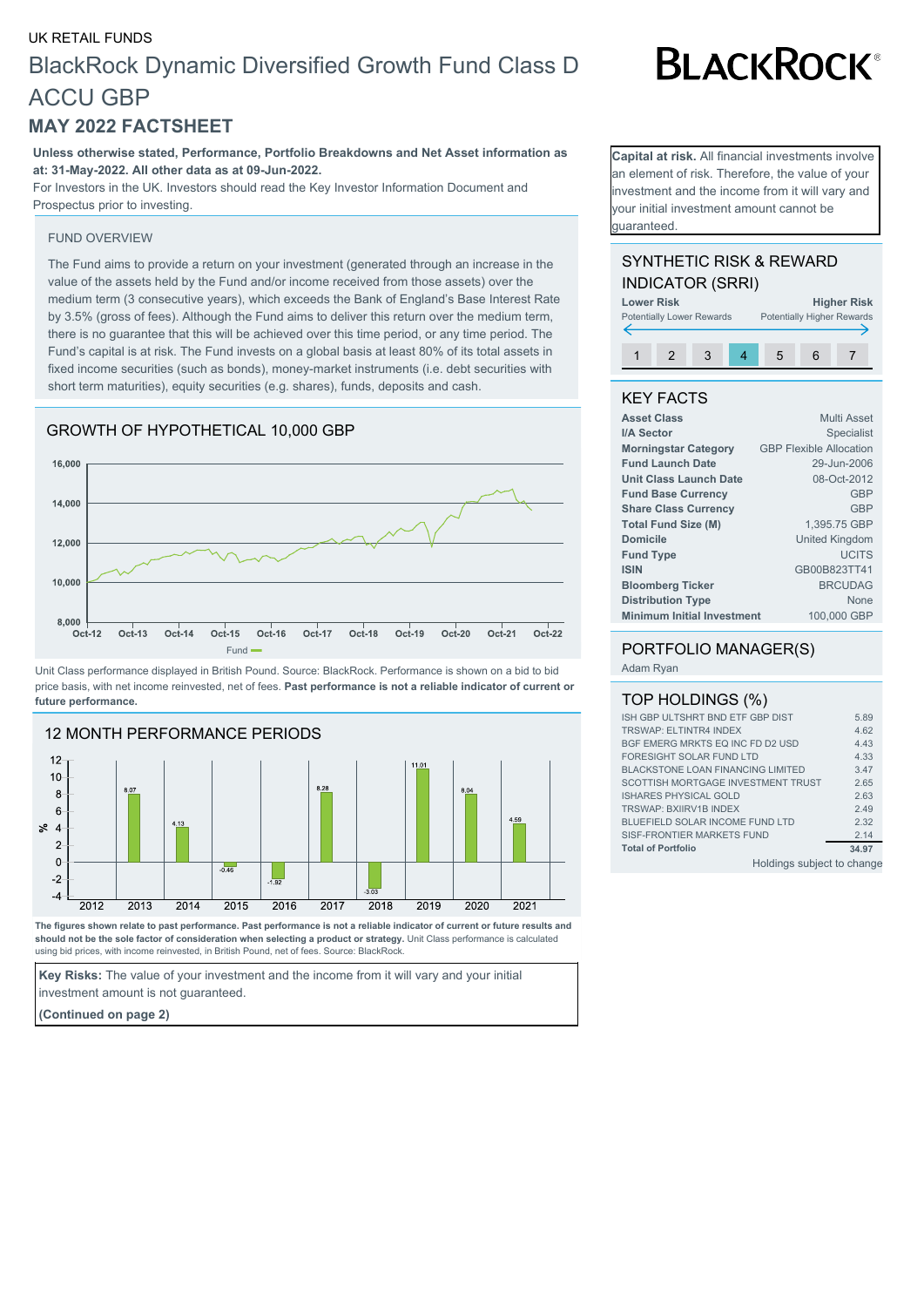# UK RETAIL FUNDS BlackRock Dynamic Diversified Growth Fund Class D ACCU GBP

# **MAY 2022 FACTSHEET**

**Unless otherwise stated, Performance, Portfolio Breakdowns and Net Asset information as at: 31-May-2022. All other data as at 09-Jun-2022.**

For Investors in the UK. Investors should read the Key Investor Information Document and Prospectus prior to investing.

#### FUND OVERVIEW

The Fund aims to provide a return on your investment (generated through an increase in the value of the assets held by the Fund and/or income received from those assets) over the medium term (3 consecutive years), which exceeds the Bank of England's Base Interest Rate by 3.5% (gross of fees). Although the Fund aims to deliver this return over the medium term, there is no guarantee that this will be achieved over this time period, or any time period. The Fund's capital is at risk. The Fund invests on a global basis at least 80% of its total assets in fixed income securities (such as bonds), money-market instruments (i.e. debt securities with short term maturities), equity securities (e.g. shares), funds, deposits and cash.

# GROWTH OF HYPOTHETICAL 10,000 GBP



Unit Class performance displayed in British Pound. Source: BlackRock. Performance is shown on a bid to bid price basis, with net income reinvested, net of fees. **Past performance is not a reliable indicator of current or future performance.**



**The figures shown relate to past performance. Past performance is not a reliable indicator of current or future results and should not be the sole factor of consideration when selecting a product or strategy.** Unit Class performance is calculated using bid prices, with income reinvested, in British Pound, net of fees. Source: BlackRock.

**Key Risks:** The value of your investment and the income from it will vary and your initial investment amount is not guaranteed.

**(Continued on page 2)**

**BLACKROCK®** 

**Capital at risk.** All financial investments involve an element of risk. Therefore, the value of your nvestment and the income from it will vary and your initial investment amount cannot be guaranteed.

# SYNTHETIC RISK & REWARD INDICATOR (SRRI)



# KEY FACTS

| <b>Multi Asset</b>                               |
|--------------------------------------------------|
| <b>Specialist</b>                                |
| <b>GBP Flexible Allocation</b>                   |
| 29-Jun-2006                                      |
| 08-Oct-2012                                      |
| <b>GBP</b>                                       |
| <b>GBP</b>                                       |
| 1,395.75 GBP                                     |
| <b>United Kingdom</b>                            |
| <b>UCITS</b>                                     |
| GB00B823TT41                                     |
| <b>BRCUDAG</b>                                   |
| None                                             |
| <b>Minimum Initial Investment</b><br>100,000 GBP |
|                                                  |

### PORTFOLIO MANAGER(S)

Adam Ryan

## TOP HOLDINGS (%)

| ISH GBP ULTSHRT BND ETF GBP DIST         | 5.89  |  |
|------------------------------------------|-------|--|
| <b>TRSWAP: ELTINTR4 INDEX</b>            | 4.62  |  |
| BGF EMERG MRKTS EQ INC FD D2 USD         | 4.43  |  |
| FORESIGHT SOLAR FUND LTD                 | 4.33  |  |
| <b>BLACKSTONE LOAN FINANCING LIMITED</b> | 3.47  |  |
| SCOTTISH MORTGAGE INVESTMENT TRUST       | 2.65  |  |
| <b>ISHARES PHYSICAL GOLD</b>             | 2.63  |  |
| <b>TRSWAP: BXIIRV1B INDEX</b>            | 2.49  |  |
| BLUEFIELD SOLAR INCOME FUND LTD          | 2.32  |  |
| SISE-FRONTIER MARKETS FUND               | 2.14  |  |
| <b>Total of Portfolio</b>                | 34.97 |  |
| Ualdings oubject to chope                |       |  |

Holdings subject to change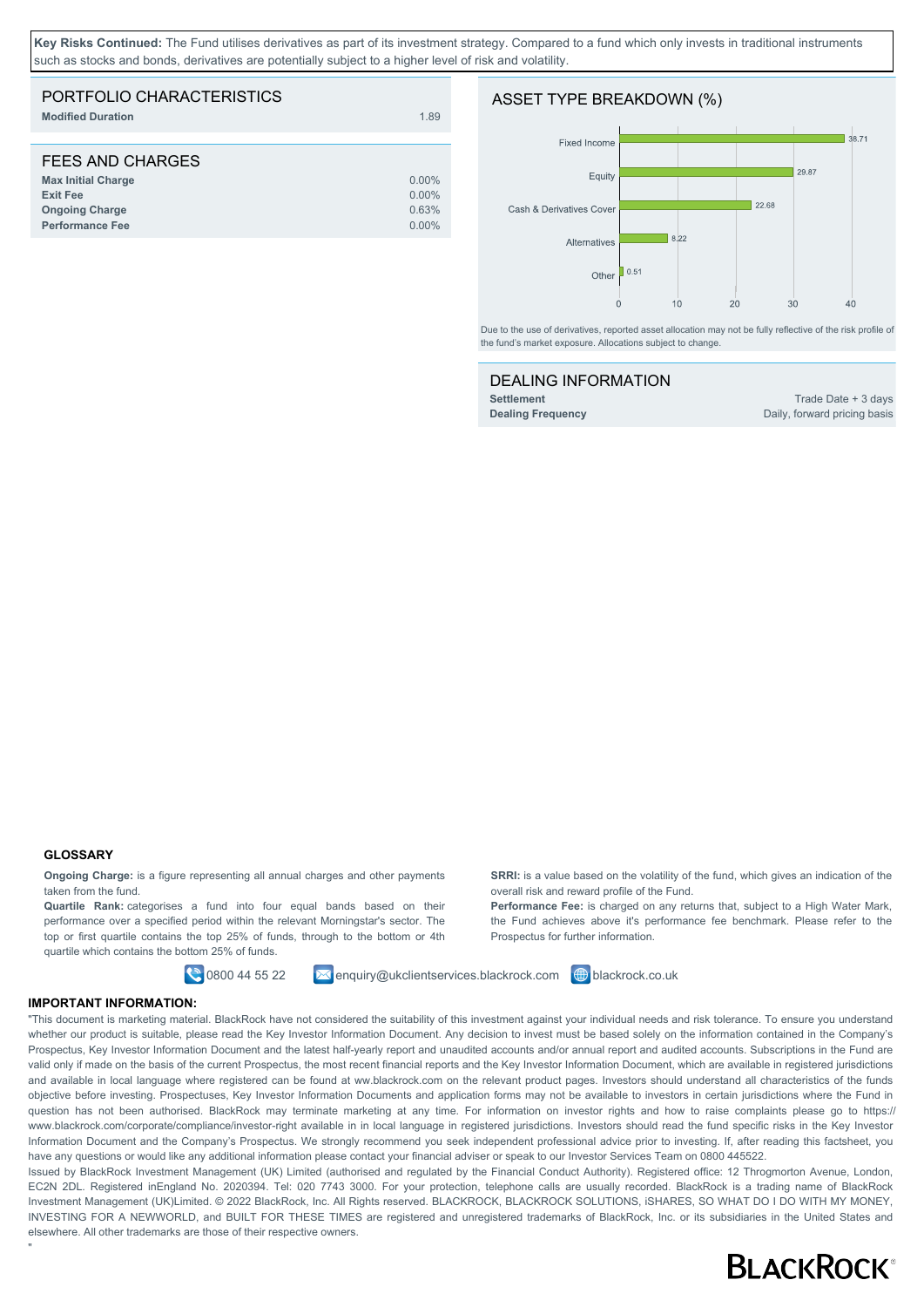**Key Risks Continued:** The Fund utilises derivatives as part of its investment strategy. Compared to a fund which only invests in traditional instruments such as stocks and bonds, derivatives are potentially subject to a higher level of risk and volatility

| PORTFOLIO CHARACTERISTICS<br><b>Modified Duration</b>                                                               | 1.89                                      |
|---------------------------------------------------------------------------------------------------------------------|-------------------------------------------|
| FEES AND CHARGES<br><b>Max Initial Charge</b><br><b>Exit Fee</b><br><b>Ongoing Charge</b><br><b>Performance Fee</b> | $0.00\%$<br>$0.00\%$<br>0.63%<br>$0.00\%$ |

#### ASSET TYPE BREAKDOWN (%)



Due to the use of derivatives, reported asset allocation may not be fully reflective of the risk profile of the fund's market exposure. Allocations subject to change.

#### DEALING INFORMATION

**Settlement** Trade Date + 3 days **Dealing Frequency** Daily, forward pricing basis

#### **GLOSSARY**

"

**Ongoing Charge:** is a figure representing all annual charges and other payments taken from the fund.

**Quartile Rank:** categorises a fund into four equal bands based on their performance over a specified period within the relevant Morningstar's sector. The top or first quartile contains the top 25% of funds, through to the bottom or 4th quartile which contains the bottom 25% of funds.

0800 44 55 22 enquiry@ukclientservices.blackrock.com blackrock.co.uk

the Fund achieves above it's performance fee benchmark. Please refer to the Prospectus for further information.

**SRRI:** is a value based on the volatility of the fund, which gives an indication of the

**Performance Fee:** is charged on any returns that, subject to a High Water Mark,

overall risk and reward profile of the Fund.

#### **IMPORTANT INFORMATION:**

"This document is marketing material. BlackRock have not considered the suitability of this investment against your individual needs and risk tolerance. To ensure you understand whether our product is suitable, please read the Key Investor Information Document. Any decision to invest must be based solely on the information contained in the Company's Prospectus, Key Investor Information Document and the latest half-yearly report and unaudited accounts and/or annual report and audited accounts. Subscriptions in the Fund are valid only if made on the basis of the current Prospectus, the most recent financial reports and the Key Investor Information Document, which are available in registered jurisdictions and available in local language where registered can be found at ww.blackrock.com on the relevant product pages. Investors should understand all characteristics of the funds objective before investing. Prospectuses, Key Investor Information Documents and application forms may not be available to investors in certain jurisdictions where the Fund in question has not been authorised. BlackRock may terminate marketing at any time. For information on investor rights and how to raise complaints please go to https:// www.blackrock.com/corporate/compliance/investor-right available in in local language in registered jurisdictions. Investors should read the fund specific risks in the Key Investor Information Document and the Company's Prospectus. We strongly recommend you seek independent professional advice prior to investing. If, after reading this factsheet, you have any questions or would like any additional information please contact your financial adviser or speak to our Investor Services Team on 0800 445522.

Issued by BlackRock Investment Management (UK) Limited (authorised and regulated by the Financial Conduct Authority). Registered office: 12 Throgmorton Avenue, London, EC2N 2DL. Registered inEngland No. 2020394. Tel: 020 7743 3000. For your protection, telephone calls are usually recorded. BlackRock is a trading name of BlackRock Investment Management (UK)Limited. © 2022 BlackRock, Inc. All Rights reserved. BLACKROCK, BLACKROCK SOLUTIONS, iSHARES, SO WHAT DO I DO WITH MY MONEY, INVESTING FOR A NEWWORLD, and BUILT FOR THESE TIMES are registered and unregistered trademarks of BlackRock, Inc. or its subsidiaries in the United States and elsewhere. All other trademarks are those of their respective owners.